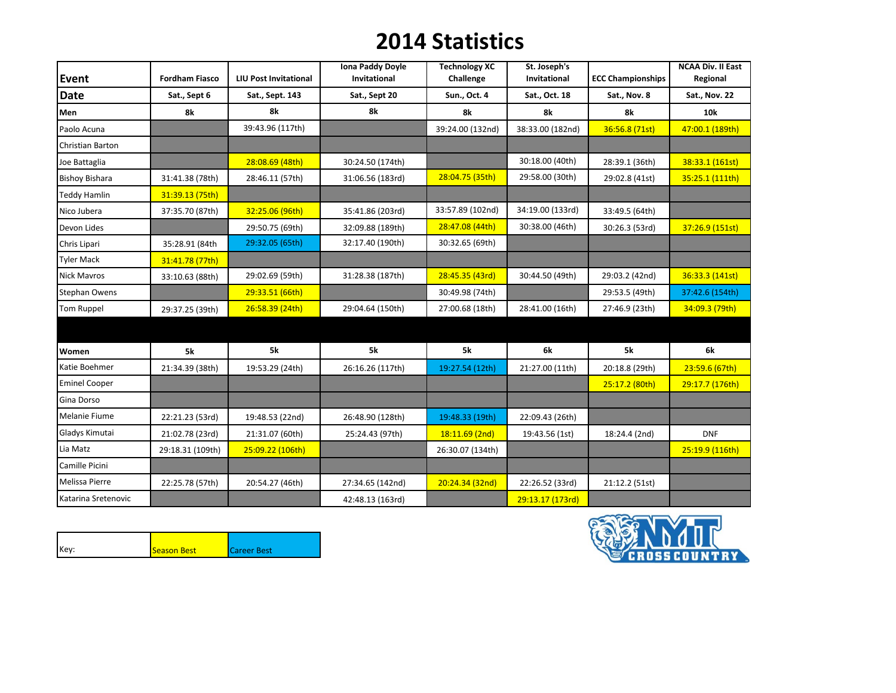## **2014 Statistics**

|                       | <b>Fordham Fiasco</b> | <b>LIU Post Invitational</b> | <b>Iona Paddy Doyle</b><br>Invitational | <b>Technology XC</b><br>Challenge | St. Joseph's     |                          | <b>NCAA Div. II East</b> |
|-----------------------|-----------------------|------------------------------|-----------------------------------------|-----------------------------------|------------------|--------------------------|--------------------------|
| Event                 |                       |                              |                                         |                                   | Invitational     | <b>ECC Championships</b> | Regional                 |
| <b>Date</b>           | Sat., Sept 6          | Sat., Sept. 143              | Sat., Sept 20                           | Sun., Oct. 4                      | Sat., Oct. 18    | Sat., Nov. 8             | <b>Sat., Nov. 22</b>     |
| Men                   | 8k                    | 8k                           | 8k                                      | 8k                                | 8k               | 8k                       | <b>10k</b>               |
| Paolo Acuna           |                       | 39:43.96 (117th)             |                                         | 39:24.00 (132nd)                  | 38:33.00 (182nd) | 36:56.8 (71st)           | 47:00.1 (189th)          |
| Christian Barton      |                       |                              |                                         |                                   |                  |                          |                          |
| Joe Battaglia         |                       | 28:08.69 (48th)              | 30:24.50 (174th)                        |                                   | 30:18.00 (40th)  | 28:39.1 (36th)           | 38:33.1 (161st)          |
| <b>Bishoy Bishara</b> | 31:41.38 (78th)       | 28:46.11 (57th)              | 31:06.56 (183rd)                        | 28:04.75 (35th)                   | 29:58.00 (30th)  | 29:02.8 (41st)           | 35:25.1 (111th)          |
| <b>Teddy Hamlin</b>   | 31:39.13 (75th)       |                              |                                         |                                   |                  |                          |                          |
| Nico Jubera           | 37:35.70 (87th)       | 32:25.06 (96th)              | 35:41.86 (203rd)                        | 33:57.89 (102nd)                  | 34:19.00 (133rd) | 33:49.5 (64th)           |                          |
| Devon Lides           |                       | 29:50.75 (69th)              | 32:09.88 (189th)                        | 28:47.08 (44th)                   | 30:38.00 (46th)  | 30:26.3 (53rd)           | 37:26.9 (151st)          |
| Chris Lipari          | 35:28.91 (84th        | 29:32.05 (65th)              | 32:17.40 (190th)                        | 30:32.65 (69th)                   |                  |                          |                          |
| <b>Tyler Mack</b>     | 31:41.78 (77th)       |                              |                                         |                                   |                  |                          |                          |
| <b>Nick Mavros</b>    | 33:10.63 (88th)       | 29:02.69 (59th)              | 31:28.38 (187th)                        | 28:45.35 (43rd)                   | 30:44.50 (49th)  | 29:03.2 (42nd)           | 36:33.3 (141st)          |
| <b>Stephan Owens</b>  |                       | 29:33.51 (66th)              |                                         | 30:49.98 (74th)                   |                  | 29:53.5 (49th)           | 37:42.6 (154th)          |
| Tom Ruppel            | 29:37.25 (39th)       | 26:58.39 (24th)              | 29:04.64 (150th)                        | 27:00.68 (18th)                   | 28:41.00 (16th)  | 27:46.9 (23th)           | 34:09.3 (79th)           |
|                       |                       |                              |                                         |                                   |                  |                          |                          |
| Women                 | 5k                    | <b>5k</b>                    | 5k                                      | 5k                                | 6k               | 5k                       | 6k                       |
| Katie Boehmer         | 21:34.39 (38th)       | 19:53.29 (24th)              | 26:16.26 (117th)                        | 19:27.54 (12th)                   | 21:27.00 (11th)  | 20:18.8 (29th)           | 23:59.6 (67th)           |
| <b>Eminel Cooper</b>  |                       |                              |                                         |                                   |                  | 25:17.2 (80th)           | 29:17.7 (176th)          |
| Gina Dorso            |                       |                              |                                         |                                   |                  |                          |                          |
| Melanie Fiume         | 22:21.23 (53rd)       | 19:48.53 (22nd)              | 26:48.90 (128th)                        | 19:48.33 (19th)                   | 22:09.43 (26th)  |                          |                          |
| Gladys Kimutai        | 21:02.78 (23rd)       | 21:31.07 (60th)              | 25:24.43 (97th)                         | 18:11.69 (2nd)                    | 19:43.56 (1st)   | 18:24.4 (2nd)            | <b>DNF</b>               |
| Lia Matz              | 29:18.31 (109th)      | 25:09.22 (106th)             |                                         | 26:30.07 (134th)                  |                  |                          | 25:19.9 (116th)          |
| Camille Picini        |                       |                              |                                         |                                   |                  |                          |                          |
| <b>Melissa Pierre</b> | 22:25.78 (57th)       | 20:54.27 (46th)              | 27:34.65 (142nd)                        | 20:24.34 (32nd)                   | 22:26.52 (33rd)  | 21:12.2 (51st)           |                          |
| Katarina Sretenovic   |                       |                              | 42:48.13 (163rd)                        |                                   | 29:13.17 (173rd) |                          |                          |